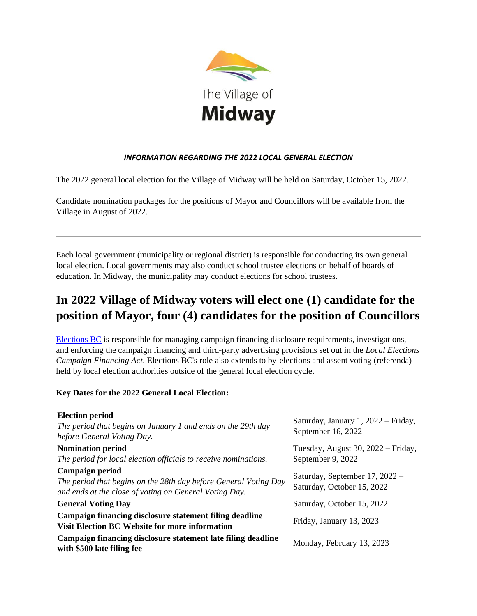

## *INFORMATION REGARDING THE 2022 LOCAL GENERAL ELECTION*

The 2022 general local election for the Village of Midway will be held on Saturday, October 15, 2022.

Candidate nomination packages for the positions of Mayor and Councillors will be available from the Village in August of 2022.

Each local government (municipality or regional district) is responsible for conducting its own general local election. Local governments may also conduct school trustee elections on behalf of boards of education. In Midway, the municipality may conduct elections for school trustees.

# **In 2022 Village of Midway voters will elect one (1) candidate for the position of Mayor, four (4) candidates for the position of Councillors**

[Elections BC](https://elections.bc.ca/) is responsible for managing campaign financing disclosure requirements, investigations, and enforcing the campaign financing and third-party advertising provisions set out in the *Local Elections Campaign Financing Act*. Elections BC's role also extends to by-elections and assent voting (referenda) held by local election authorities outside of the general local election cycle.

## **Key Dates for the 2022 General Local Election:**

| <b>Election period</b><br>The period that begins on January 1 and ends on the 29th day<br>before General Voting Day.       | Saturday, January 1, 2022 – Friday,<br>September 16, 2022 |
|----------------------------------------------------------------------------------------------------------------------------|-----------------------------------------------------------|
| <b>Nomination period</b>                                                                                                   | Tuesday, August 30, 2022 – Friday,<br>September 9, 2022   |
| The period for local election officials to receive nominations.<br>Campaign period                                         | Saturday, September 17, 2022 -                            |
| The period that begins on the 28th day before General Voting Day<br>and ends at the close of voting on General Voting Day. | Saturday, October 15, 2022                                |
| <b>General Voting Day</b>                                                                                                  | Saturday, October 15, 2022                                |
| Campaign financing disclosure statement filing deadline<br><b>Visit Election BC Website for more information</b>           | Friday, January 13, 2023                                  |
| Campaign financing disclosure statement late filing deadline<br>with \$500 late filing fee                                 | Monday, February 13, 2023                                 |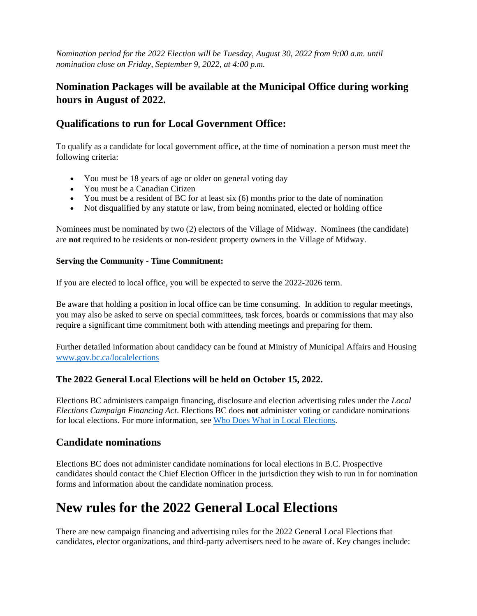*Nomination period for the 2022 Election will be Tuesday, August 30, 2022 from 9:00 a.m. until nomination close on Friday, September 9, 2022, at 4:00 p.m.*

# **Nomination Packages will be available at the Municipal Office during working hours in August of 2022.**

## **Qualifications to run for Local Government Office:**

To qualify as a candidate for local government office, at the time of nomination a person must meet the following criteria:

- You must be 18 years of age or older on general voting day
- You must be a Canadian Citizen
- You must be a resident of BC for at least six (6) months prior to the date of nomination
- Not disqualified by any statute or law, from being nominated, elected or holding office

Nominees must be nominated by two (2) electors of the Village of Midway. Nominees (the candidate) are **not** required to be residents or non-resident property owners in the Village of Midway.

### **Serving the Community - Time Commitment:**

If you are elected to local office, you will be expected to serve the 2022-2026 term.

Be aware that holding a position in local office can be time consuming. In addition to regular meetings, you may also be asked to serve on special committees, task forces, boards or commissions that may also require a significant time commitment both with attending meetings and preparing for them.

Further detailed information about candidacy can be found at Ministry of Municipal Affairs and Housing [www.gov.bc.ca/localelections](http://www.gov.bc.ca/localelections)

## **The 2022 General Local Elections will be held on October 15, 2022.**

Elections BC administers campaign financing, disclosure and election advertising rules under the *Local Elections Campaign Financing Act*. Elections BC does **not** administer voting or candidate nominations for local elections. For more information, see [Who Does What in Local Elections.](https://elections.bc.ca/local-elections/who-does-what-in-local-elections/)

## **Candidate nominations**

Elections BC does not administer candidate nominations for local elections in B.C. Prospective candidates should contact the Chief Election Officer in the jurisdiction they wish to run in for nomination forms and information about the candidate nomination process.

# **New rules for the 2022 General Local Elections**

There are new campaign financing and advertising rules for the 2022 General Local Elections that candidates, elector organizations, and third-party advertisers need to be aware of. Key changes include: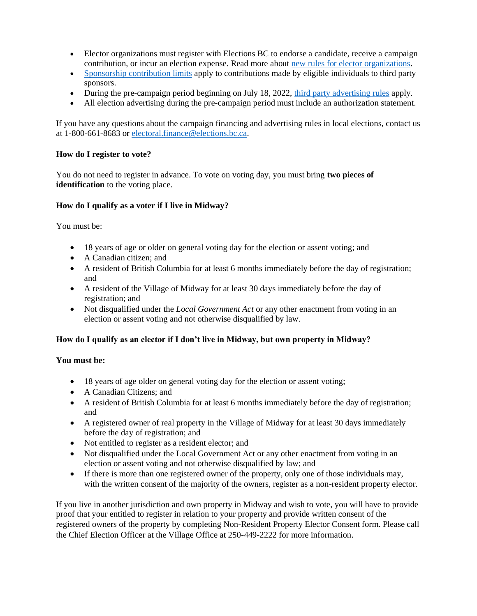- Elector organizations must register with Elections BC to endorse a candidate, receive a campaign contribution, or incur an election expense. Read more about [new rules for elector organizations.](https://elections.bc.ca/local-elections/elector-organizations/)
- [Sponsorship contribution limits](https://elections.bc.ca/local-elections/advertising-rules/making-a-sponsorship-contribution/) apply to contributions made by eligible individuals to third party sponsors.
- During the pre-campaign period beginning on July 18, 2022, [third party advertising rules](https://elections.bc.ca/local-elections/advertising-rules/local-advertising-sponsors/) apply.
- All election advertising during the pre-campaign period must include an authorization statement.

If you have any questions about the campaign financing and advertising rules in local elections, contact us at 1-800-661-8683 or [electoral.finance@elections.bc.ca.](mailto:electoral.finance@elections.bc.ca)

#### **How do I register to vote?**

You do not need to register in advance. To vote on voting day, you must bring **two pieces of identification** to the voting place.

#### **How do I qualify as a voter if I live in Midway?**

You must be:

- 18 years of age or older on general voting day for the election or assent voting; and
- A Canadian citizen: and
- A resident of British Columbia for at least 6 months immediately before the day of registration; and
- A resident of the Village of Midway for at least 30 days immediately before the day of registration; and
- Not disqualified under the *Local Government Act* or any other enactment from voting in an election or assent voting and not otherwise disqualified by law.

#### **How do I qualify as an elector if I don't live in Midway, but own property in Midway?**

#### **You must be:**

- 18 years of age older on general voting day for the election or assent voting;
- A Canadian Citizens: and
- A resident of British Columbia for at least 6 months immediately before the day of registration; and
- A registered owner of real property in the Village of Midway for at least 30 days immediately before the day of registration; and
- Not entitled to register as a resident elector; and
- Not disqualified under the Local Government Act or any other enactment from voting in an election or assent voting and not otherwise disqualified by law; and
- If there is more than one registered owner of the property, only one of those individuals may, with the written consent of the majority of the owners, register as a non-resident property elector.

If you live in another jurisdiction and own property in Midway and wish to vote, you will have to provide proof that your entitled to register in relation to your property and provide written consent of the registered owners of the property by completing Non-Resident Property Elector Consent form. Please call the Chief Election Officer at the Village Office at 250-449-2222 for more information.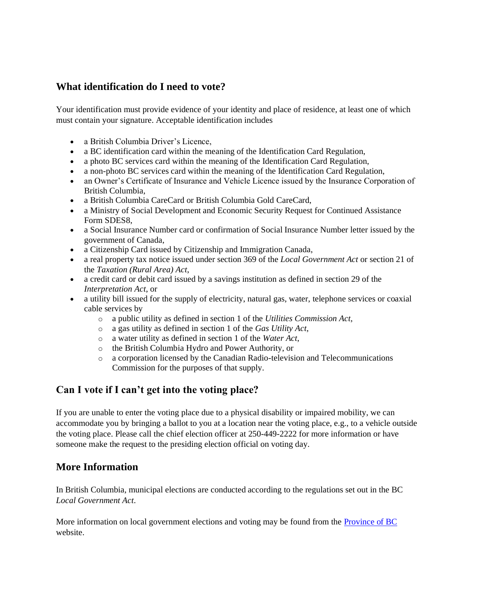## **What identification do I need to vote?**

Your identification must provide evidence of your identity and place of residence, at least one of which must contain your signature. Acceptable identification includes

- a British Columbia Driver's Licence,
- a BC identification card within the meaning of the Identification Card Regulation,
- a photo BC services card within the meaning of the Identification Card Regulation,
- a non-photo BC services card within the meaning of the Identification Card Regulation,
- an Owner's Certificate of Insurance and Vehicle Licence issued by the Insurance Corporation of British Columbia,
- a British Columbia CareCard or British Columbia Gold CareCard,
- a Ministry of Social Development and Economic Security Request for Continued Assistance Form SDES8,
- a Social Insurance Number card or confirmation of Social Insurance Number letter issued by the government of Canada,
- a Citizenship Card issued by Citizenship and Immigration Canada,
- a real property tax notice issued under section 369 of the *[Local Government Act](http://www.bclaws.ca/civix/document/id/complete/statreg/96323_00)* or section 21 of the *[Taxation \(Rural Area\) Act](http://www.bclaws.ca/civix/document/id/complete/statreg/96448_01)*,
- a credit card or debit card issued by a savings institution as defined in section 29 of the *[Interpretation Act](http://www.bclaws.ca/civix/document/id/complete/statreg/96238_01)*, or
- a utility bill issued for the supply of electricity, natural gas, water, telephone services or coaxial cable services by
	- o a public utility as defined in section 1 of the *[Utilities Commission Act](http://www.bclaws.ca/civix/document/id/complete/statreg/96473_01)*,
	- o a gas utility as defined in section 1 of the *[Gas Utility Act](http://www.bclaws.ca/civix/document/id/complete/statreg/96170_01)*,
	- o a water utility as defined in section 1 of the *[Water Act](http://www.bclaws.ca/civix/document/id/complete/statreg/96483_01)*,
	- o the British Columbia Hydro and Power Authority, or
	- o a corporation licensed by the Canadian Radio-television and Telecommunications Commission for the purposes of that supply.

## **Can I vote if I can't get into the voting place?**

If you are unable to enter the voting place due to a physical disability or impaired mobility, we can accommodate you by bringing a ballot to you at a location near the voting place, e.g., to a vehicle outside the voting place. Please call the chief election officer at 250-449-2222 for more information or have someone make the request to the presiding election official on voting day.

## **More Information**

In British Columbia, municipal elections are conducted according to the regulations set out in the BC *[Local Government Act](http://www.bclaws.ca/Recon/document/ID/freeside/96323_00)*.

More information on local government elections and voting may be found from the **Province of BC** website.